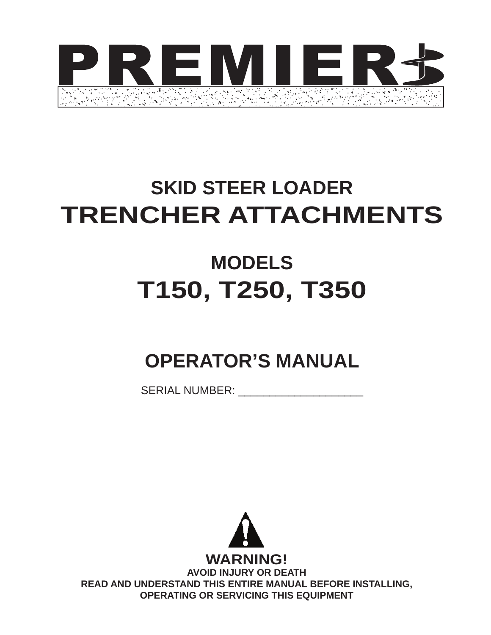

# **SKID STEER LOADER TRENCHER ATTACHMENTS**

# **MODELS T150, T250, T350**

# **OPERATOR'S MANUAL**

SERIAL NUMBER:

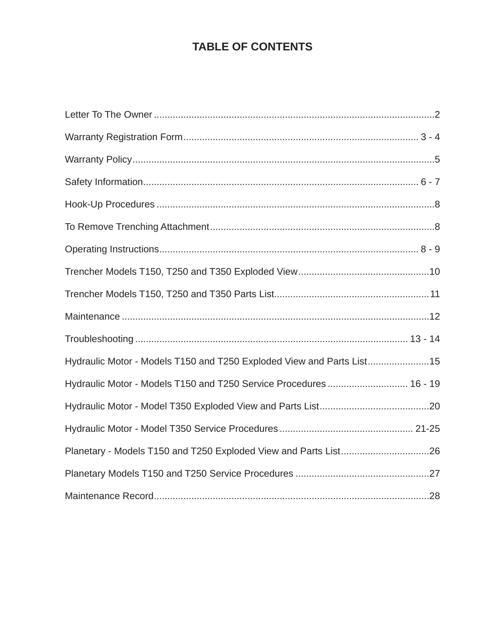# **table of contents**

| Hydraulic Motor - Models T150 and T250 Exploded View and Parts List15 |  |
|-----------------------------------------------------------------------|--|
| Hydraulic Motor - Models T150 and T250 Service Procedures 16 - 19     |  |
|                                                                       |  |
|                                                                       |  |
|                                                                       |  |
|                                                                       |  |
|                                                                       |  |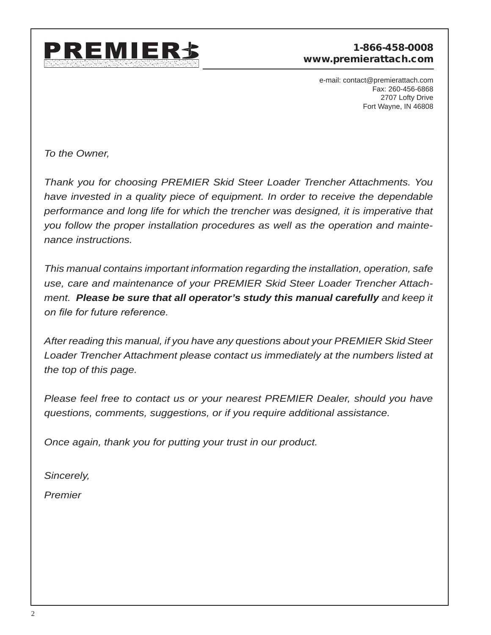

#### 1-866-458-0008 www.premierattach.com

e-mail: contact@premierattach.com Fax: 260-456-6868 2707 Lofty Drive Fort Wayne, IN 46808

*To the Owner,*

*Thank you for choosing PREMIER Skid Steer Loader Trencher Attachments. You have invested in a quality piece of equipment. In order to receive the dependable performance and long life for which the trencher was designed, it is imperative that you follow the proper installation procedures as well as the operation and maintenance instructions.*

*This manual contains important information regarding the installation, operation, safe use, care and maintenance of your PREMIER Skid Steer Loader Trencher Attachment. Please be sure that all operator's study this manual carefully and keep it on file for future reference.*

*After reading this manual, if you have any questions about your PREMIER Skid Steer Loader Trencher Attachment please contact us immediately at the numbers listed at the top of this page.*

*Please feel free to contact us or your nearest PREMIER Dealer, should you have questions, comments, suggestions, or if you require additional assistance.* 

*Once again, thank you for putting your trust in our product.*

*Sincerely,*

*Premier*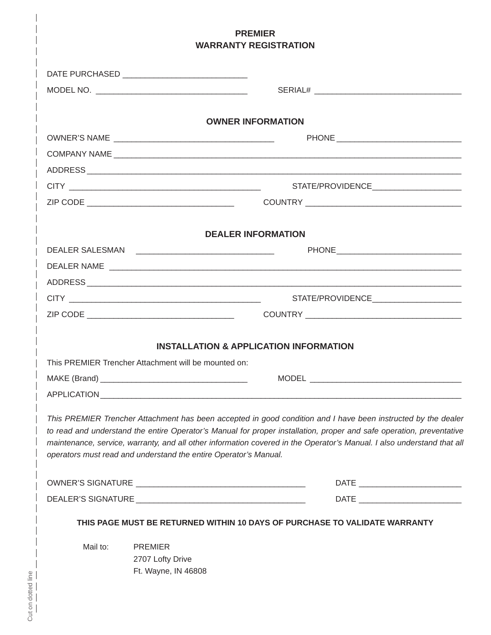| <b>PREMIER</b><br><b>WARRANTY REGISTRATION</b> |                                                                  |                                                                                                                                                                                                                                                                                                                                                                 |  |  |
|------------------------------------------------|------------------------------------------------------------------|-----------------------------------------------------------------------------------------------------------------------------------------------------------------------------------------------------------------------------------------------------------------------------------------------------------------------------------------------------------------|--|--|
|                                                | DATE PURCHASED _______________________________                   |                                                                                                                                                                                                                                                                                                                                                                 |  |  |
|                                                |                                                                  |                                                                                                                                                                                                                                                                                                                                                                 |  |  |
|                                                |                                                                  | <b>OWNER INFORMATION</b>                                                                                                                                                                                                                                                                                                                                        |  |  |
|                                                |                                                                  |                                                                                                                                                                                                                                                                                                                                                                 |  |  |
|                                                |                                                                  |                                                                                                                                                                                                                                                                                                                                                                 |  |  |
|                                                |                                                                  |                                                                                                                                                                                                                                                                                                                                                                 |  |  |
|                                                |                                                                  | STATE/PROVIDENCE_______________________                                                                                                                                                                                                                                                                                                                         |  |  |
|                                                |                                                                  |                                                                                                                                                                                                                                                                                                                                                                 |  |  |
|                                                |                                                                  | <b>DEALER INFORMATION</b>                                                                                                                                                                                                                                                                                                                                       |  |  |
|                                                |                                                                  |                                                                                                                                                                                                                                                                                                                                                                 |  |  |
|                                                |                                                                  |                                                                                                                                                                                                                                                                                                                                                                 |  |  |
|                                                |                                                                  |                                                                                                                                                                                                                                                                                                                                                                 |  |  |
|                                                |                                                                  |                                                                                                                                                                                                                                                                                                                                                                 |  |  |
|                                                |                                                                  |                                                                                                                                                                                                                                                                                                                                                                 |  |  |
|                                                |                                                                  | <b>INSTALLATION &amp; APPLICATION INFORMATION</b>                                                                                                                                                                                                                                                                                                               |  |  |
|                                                | This PREMIER Trencher Attachment will be mounted on:             |                                                                                                                                                                                                                                                                                                                                                                 |  |  |
|                                                |                                                                  |                                                                                                                                                                                                                                                                                                                                                                 |  |  |
|                                                |                                                                  |                                                                                                                                                                                                                                                                                                                                                                 |  |  |
|                                                | operators must read and understand the entire Operator's Manual. | This PREMIER Trencher Attachment has been accepted in good condition and I have been instructed by the dealer<br>to read and understand the entire Operator's Manual for proper installation, proper and safe operation, preventative<br>maintenance, service, warranty, and all other information covered in the Operator's Manual. I also understand that all |  |  |
|                                                |                                                                  |                                                                                                                                                                                                                                                                                                                                                                 |  |  |
|                                                |                                                                  |                                                                                                                                                                                                                                                                                                                                                                 |  |  |
|                                                |                                                                  | THIS PAGE MUST BE RETURNED WITHIN 10 DAYS OF PURCHASE TO VALIDATE WARRANTY                                                                                                                                                                                                                                                                                      |  |  |
| Mail to:                                       | <b>PREMIER</b><br>2707 Lofty Drive<br>Ft. Wayne, IN 46808        |                                                                                                                                                                                                                                                                                                                                                                 |  |  |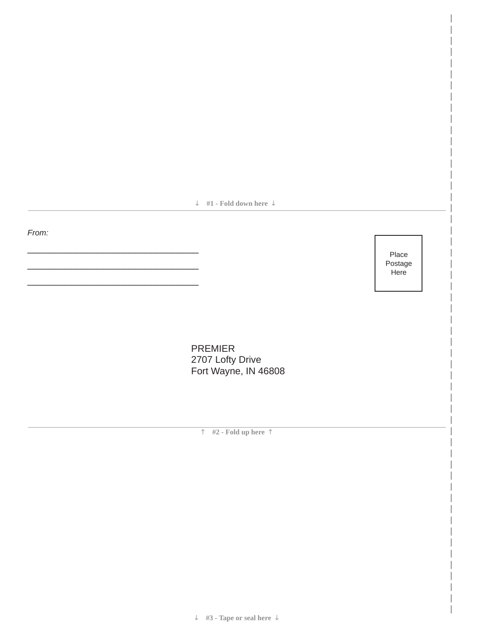**#1 - Fold down here** 

*From:*

\_\_\_\_\_\_\_\_\_\_\_\_\_\_\_\_\_\_\_\_\_\_\_\_\_\_\_\_\_\_\_\_

\_\_\_\_\_\_\_\_\_\_\_\_\_\_\_\_\_\_\_\_\_\_\_\_\_\_\_\_\_\_\_\_

\_\_\_\_\_\_\_\_\_\_\_\_\_\_\_\_\_\_\_\_\_\_\_\_\_\_\_\_\_\_\_\_

Place Postage **Here** 

PREMIER 2707 Lofty Drive Fort Wayne, IN 46808

**#2 - Fold up here** 

**#3 - Tape or seal here**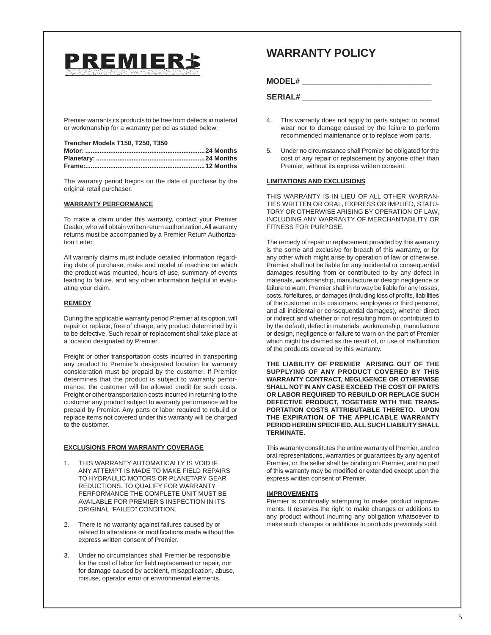

Premier warrants its products to be free from defects in material or workmanship for a warranty period as stated below:

#### **Trencher Models T150, T250, T350**

The warranty period begins on the date of purchase by the original retail purchaser.

#### **Warranty Performance**

To make a claim under this warranty, contact your Premier Dealer, who will obtain written return authorization. All warranty returns must be accompanied by a Premier Return Authorization Letter.

All warranty claims must include detailed information regarding date of purchase, make and model of machine on which the product was mounted, hours of use, summary of events leading to failure, and any other information helpful in evaluating your claim.

#### **Remedy**

During the applicable warranty period Premier at its option, will repair or replace, free of charge, any product determined by it to be defective. Such repair or replacement shall take place at a location designated by Premier.

Freight or other transportation costs incurred in transporting any product to Premier's designated location for warranty consideration must be prepaid by the customer. If Premier determines that the product is subject to warranty performance, the customer will be allowed credit for such costs. Freight or other transportation costs incurred in returning to the customer any product subject to warranty performance will be prepaid by Premier. Any parts or labor required to rebuild or replace items not covered under this warranty will be charged to the customer.

#### **Exclusions From Warranty Coverage**

- THIS WARRANTY AUTOMATICALLY IS VOID IF ANY ATTEMPT IS MADE TO MAKE FIELD REPAIRS TO HYDRAULIC MOTORS OR PLANETARY GEAR REDUCTIONS. TO QUALIFY FOR WARRANTY PERFORMANCE THE COMPLETE UNIT MUST BE AVAILABLE FOR PREMIER'S INSPECTION IN ITS ORIGINAL "FAILED" CONDITION.
- 2. There is no warranty against failures caused by or related to alterations or modifications made without the express written consent of Premier.
- 3. Under no circumstances shall Premier be responsible for the cost of labor for field replacement or repair, nor for damage caused by accident, misapplication, abuse, misuse, operator error or environmental elements.

### **WARRANTY POLICY**

#### **MODEL# \_\_\_\_\_\_\_\_\_\_\_\_\_\_\_\_\_\_\_\_\_\_\_\_\_\_\_\_\_**

#### **SERIAL# \_\_\_\_\_\_\_\_\_\_\_\_\_\_\_\_\_\_\_\_\_\_\_\_\_\_\_\_\_**

- 4. This warranty does not apply to parts subject to normal wear nor to damage caused by the failure to perform recommended maintenance or to replace worn parts.
- 5. Under no circumstance shall Premier be obligated for the cost of any repair or replacement by anyone other than Premier, without its express written consent.

#### **Limitations And Exclusions**

THIS WARRANTY IS IN LIEU OF ALL OTHER WARRAN-TIES WRITTEN OR ORAL, EXPRESS OR IMPLIED, STATU-TORY OR OTHERWISE ARISING BY OPERATION OF LAW, INCLUDING ANY WARRANTY OF MERCHANTABILITY OR FITNESS FOR PURPOSE.

The remedy of repair or replacement provided by this warranty is the some and exclusive for breach of this warranty, or for any other which might arise by operation of law or otherwise. Premier shall not be liable for any incidental or consequential damages resulting from or contributed to by any defect in materials, workmanship, manufacture or design negligence or failure to warn. Premier shall in no way be liable for any losses, costs, forfeitures, or damages (including loss of profits, liabilities of the customer to its customers, employees or third persons, and all incidental or consequential damages), whether direct or indirect and whether or not resulting from or contributed to by the default, defect in materials, workmanship, manufacture or design, negligence or failure to warn on the part of Premier which might be claimed as the result of, or use of malfunction of the products covered by this warranty.

**THE LIABILITY OF PREMIER ARISING OUT OF THE SUPPLYING OF ANY PRODUCT COVERED BY THIS WARRANTY CONTRACT, NEGLIGENCE OR OTHERWISE SHALL NOT IN ANY CASE EXCEED THE COST OF PARTS OR LABOR REQUIRED TO REBUILD OR REPLACE SUCH DEFECTIVE PRODUCT, TOGETHER WITH THE TRANS-PORTATION COSTS ATTRIBUTABLE THERETO. UPON THE EXPIRATION OF THE APPLICABLE WARRANTY PERIOD HEREIN SPECIFIED, ALL SUCH LIABILITY SHALL TERMINATE.**

This warranty constitutes the entire warranty of Premier, and no oral representations, warranties or guarantees by any agent of Premier, or the seller shall be binding on Premier, and no part of this warranty may be modified or extended except upon the express written consent of Premier.

#### **IMPROVEMENTS**

Premier is continually attempting to make product improvements. It reserves the right to make changes or additions to any product without incurring any obligation whatsoever to make such changes or additions to products previously sold.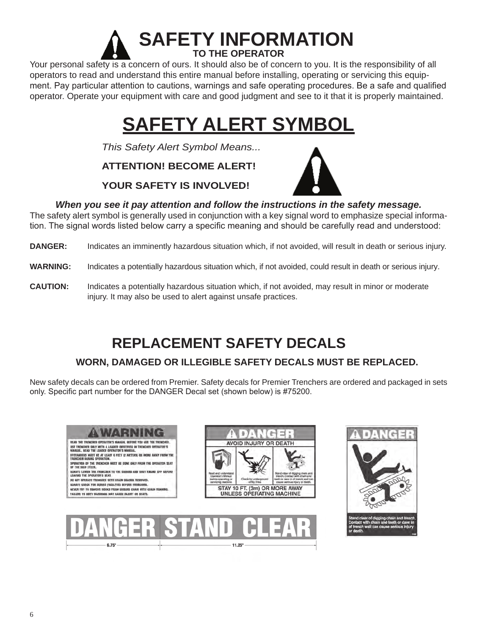

Your personal safety is a concern of ours. It should also be of concern to you. It is the responsibility of all operators to read and understand this entire manual before installing, operating or servicing this equipment. Pay particular attention to cautions, warnings and safe operating procedures. Be a safe and qualified operator. Operate your equipment with care and good judgment and see to it that it is properly maintained.

# **SAFETY ALERT SYMBOL**

*This Safety Alert Symbol Means...*

**ATTENTION! BECOME ALERT!** 

#### **YOUR SAFETY IS INVOLVED!**



#### *When you see it pay attention and follow the instructions in the safety message.*

The safety alert symbol is generally used in conjunction with a key signal word to emphasize special information. The signal words listed below carry a specific meaning and should be carefully read and understood:

**DANGER:** Indicates an imminently hazardous situation which, if not avoided, will result in death or serious injury.

**WARNING:** Indicates a potentially hazardous situation which, if not avoided, could result in death or serious injury.

**CAUTION:** Indicates a potentially hazardous situation which, if not avoided, may result in minor or moderate injury. It may also be used to alert against unsafe practices.

# **REPLACEMENT SAFETY DECALS**

### **WORN, DAMAGED OR ILLEGIBLE SAFETY DECALS MUST BE REPLACED.**

New safety decals can be ordered from Premier. Safety decals for Premier Trenchers are ordered and packaged in sets only. Specific part number for the DANGER Decal set (shown below) is #75200.



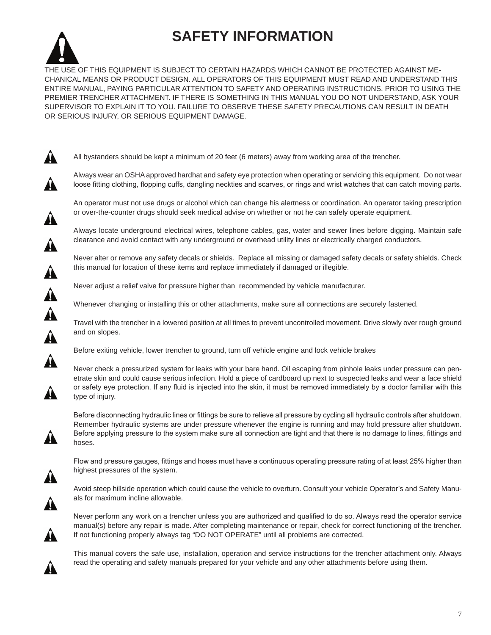# **SAFETY INFORMATION**



All bystanders should be kept a minimum of 20 feet (6 meters) away from working area of the trencher.

Always wear an OSHA approved hardhat and safety eye protection when operating or servicing this equipment. Do not wear loose fitting clothing, flopping cuffs, dangling neckties and scarves, or rings and wrist watches that can catch moving parts.

An operator must not use drugs or alcohol which can change his alertness or coordination. An operator taking prescription or over-the-counter drugs should seek medical advise on whether or not he can safely operate equipment.

Always locate underground electrical wires, telephone cables, gas, water and sewer lines before digging. Maintain safe clearance and avoid contact with any underground or overhead utility lines or electrically charged conductors.

Never alter or remove any safety decals or shields. Replace all missing or damaged safety decals or safety shields. Check this manual for location of these items and replace immediately if damaged or illegible.

Never adjust a relief valve for pressure higher than recommended by vehicle manufacturer.

Whenever changing or installing this or other attachments, make sure all connections are securely fastened.

Travel with the trencher in a lowered position at all times to prevent uncontrolled movement. Drive slowly over rough ground and on slopes.

Before exiting vehicle, lower trencher to ground, turn off vehicle engine and lock vehicle brakes

Never check a pressurized system for leaks with your bare hand. Oil escaping from pinhole leaks under pressure can penetrate skin and could cause serious infection. Hold a piece of cardboard up next to suspected leaks and wear a face shield or safety eye protection. If any fluid is injected into the skin, it must be removed immediately by a doctor familiar with this type of injury.

Before disconnecting hydraulic lines or fittings be sure to relieve all pressure by cycling all hydraulic controls after shutdown. Remember hydraulic systems are under pressure whenever the engine is running and may hold pressure after shutdown. Before applying pressure to the system make sure all connection are tight and that there is no damage to lines, fittings and hoses.

Flow and pressure gauges, fittings and hoses must have a continuous operating pressure rating of at least 25% higher than highest pressures of the system.

Avoid steep hillside operation which could cause the vehicle to overturn. Consult your vehicle Operator's and Safety Manuals for maximum incline allowable.

Never perform any work on a trencher unless you are authorized and qualified to do so. Always read the operator service manual(s) before any repair is made. After completing maintenance or repair, check for correct functioning of the trencher. If not functioning properly always tag "DO NOT OPERATE" until all problems are corrected.

This manual covers the safe use, installation, operation and service instructions for the trencher attachment only. Always read the operating and safety manuals prepared for your vehicle and any other attachments before using them.

▲

▲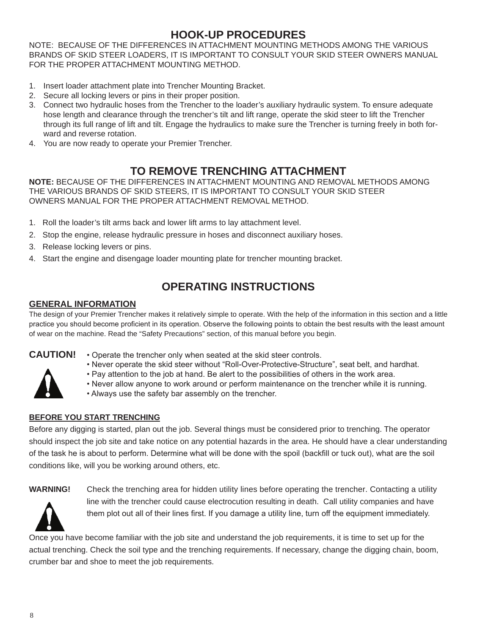### **HOOK-UP PROCEDURES**

NOTE: BECAUSE OF THE DIFFERENCES IN ATTACHMENT MOUNTING METHODS AMONG THE VARIOUS BRANDS OF SKID STEER LOADERS, IT IS IMPORTANT TO CONSULT YOUR SKID STEER OWNERS MANUAL FOR THE PROPER ATTACHMENT MOUNTING METHOD.

- 1. Insert loader attachment plate into Trencher Mounting Bracket.
- 2. Secure all locking levers or pins in their proper position.
- 3. Connect two hydraulic hoses from the Trencher to the loader's auxiliary hydraulic system. To ensure adequate hose length and clearance through the trencher's tilt and lift range, operate the skid steer to lift the Trencher through its full range of lift and tilt. Engage the hydraulics to make sure the Trencher is turning freely in both forward and reverse rotation.
- 4. You are now ready to operate your Premier Trencher.

### **TO REMOVE TRENCHING ATTACHMENT**

**NOTE:** BECAUSE OF THE DIFFERENCES IN ATTACHMENT MOUNTING AND REMOVAL METHODS AMONG THE VARIOUS BRANDS OF SKID STEERS, IT IS IMPORTANT TO CONSULT YOUR SKID STEER OWNERS MANUAL FOR THE PROPER ATTACHMENT REMOVAL METHOD.

- 1. Roll the loader's tilt arms back and lower lift arms to lay attachment level.
- 2. Stop the engine, release hydraulic pressure in hoses and disconnect auxiliary hoses.
- 3. Release locking levers or pins.
- 4. Start the engine and disengage loader mounting plate for trencher mounting bracket.

# **OPERATING INSTRUCTIONS**

#### **GENERAL INFORMATION**

The design of your Premier Trencher makes it relatively simple to operate. With the help of the information in this section and a little practice you should become proficient in its operation. Observe the following points to obtain the best results with the least amount of wear on the machine. Read the "Safety Precautions" section, of this manual before you begin.

- **CAUTION!** Operate the trencher only when seated at the skid steer controls.
	- Never operate the skid steer without "Roll-Over-Protective-Structure", seat belt, and hardhat.
	- Pay attention to the job at hand. Be alert to the possibilities of others in the work area.
	- Never allow anyone to work around or perform maintenance on the trencher while it is running.
	- Always use the safety bar assembly on the trencher.

#### **BEFORE YOU START TRENCHING**

Before any digging is started, plan out the job. Several things must be considered prior to trenching. The operator should inspect the job site and take notice on any potential hazards in the area. He should have a clear understanding of the task he is about to perform. Determine what will be done with the spoil (backfill or tuck out), what are the soil conditions like, will you be working around others, etc.



**WARNING!** Check the trenching area for hidden utility lines before operating the trencher. Contacting a utility line with the trencher could cause electrocution resulting in death. Call utility companies and have them plot out all of their lines first. If you damage a utility line, turn off the equipment immediately.

Once you have become familiar with the job site and understand the job requirements, it is time to set up for the actual trenching. Check the soil type and the trenching requirements. If necessary, change the digging chain, boom, crumber bar and shoe to meet the job requirements.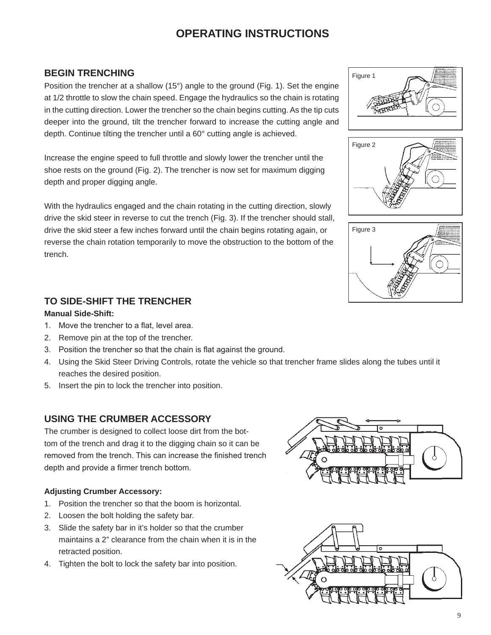# **OPERATING INSTRUCTIONS**

#### **BEGIN TRENCHING**

Position the trencher at a shallow (15°) angle to the ground (Fig. 1). Set the engine at 1/2 throttle to slow the chain speed. Engage the hydraulics so the chain is rotating in the cutting direction. Lower the trencher so the chain begins cutting. As the tip cuts deeper into the ground, tilt the trencher forward to increase the cutting angle and depth. Continue tilting the trencher until a 60° cutting angle is achieved.

Increase the engine speed to full throttle and slowly lower the trencher until the shoe rests on the ground (Fig. 2). The trencher is now set for maximum digging depth and proper digging angle.

With the hydraulics engaged and the chain rotating in the cutting direction, slowly drive the skid steer in reverse to cut the trench (Fig. 3). If the trencher should stall, drive the skid steer a few inches forward until the chain begins rotating again, or reverse the chain rotation temporarily to move the obstruction to the bottom of the trench.

#### **TO SIDE-SHIFT THE TRENCHER**

#### **Manual Side-Shift:**

- 1. Move the trencher to a flat, level area.
- 2. Remove pin at the top of the trencher.
- 3. Position the trencher so that the chain is flat against the ground.
- 4. Using the Skid Steer Driving Controls, rotate the vehicle so that trencher frame slides along the tubes until it reaches the desired position.
- 5. Insert the pin to lock the trencher into position.

#### **USING THE CRUMBER ACCESSORY**

The crumber is designed to collect loose dirt from the bottom of the trench and drag it to the digging chain so it can be removed from the trench. This can increase the finished trench depth and provide a firmer trench bottom.

#### **Adjusting Crumber Accessory:**

- 1. Position the trencher so that the boom is horizontal.
- 2. Loosen the bolt holding the safety bar.
- 3. Slide the safety bar in it's holder so that the crumber maintains a 2" clearance from the chain when it is in the retracted position.
- 4. Tighten the bolt to lock the safety bar into position.









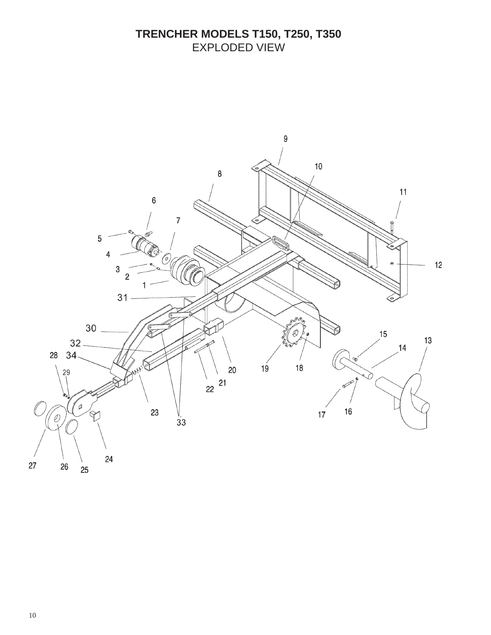# **TRENCHER MODELS T150, T250, T350** EXPLODED VIEW

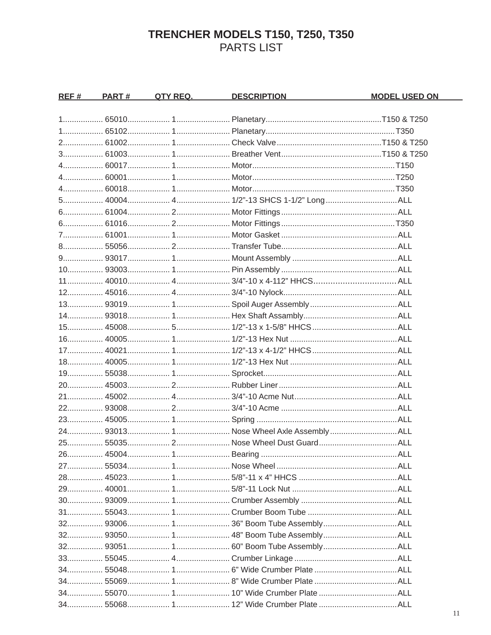# TRENCHER MODELS T150, T250, T350<br>PARTS LIST

| <u>REF #</u> | <u>PART #_</u> | <u>DESCRIPTION DESCRIPTION</u> | <u>MODEL USED ON</u> |
|--------------|----------------|--------------------------------|----------------------|
|              |                |                                |                      |
|              |                |                                |                      |
|              |                |                                |                      |
|              |                |                                |                      |
|              |                |                                |                      |
|              |                |                                |                      |
|              |                |                                |                      |
|              |                |                                |                      |
|              |                |                                |                      |
|              |                |                                |                      |
|              |                |                                |                      |
|              |                |                                |                      |
|              |                |                                |                      |
|              |                |                                |                      |
|              |                |                                |                      |
|              |                |                                |                      |
|              |                |                                |                      |
|              |                |                                |                      |
|              |                |                                |                      |
|              |                |                                |                      |
|              |                |                                |                      |
|              |                |                                |                      |
|              |                |                                |                      |
|              |                |                                |                      |
|              |                |                                |                      |
|              |                |                                |                      |
|              |                |                                |                      |
|              |                |                                |                      |
|              |                |                                |                      |
|              |                |                                |                      |
|              |                |                                |                      |
|              |                |                                |                      |
|              |                |                                |                      |
|              |                |                                |                      |
|              |                |                                |                      |
|              |                |                                |                      |
|              |                |                                |                      |
|              |                |                                |                      |
|              |                |                                |                      |
|              |                |                                |                      |
|              |                |                                |                      |
|              |                |                                |                      |
|              |                |                                |                      |
|              |                |                                |                      |
|              |                |                                |                      |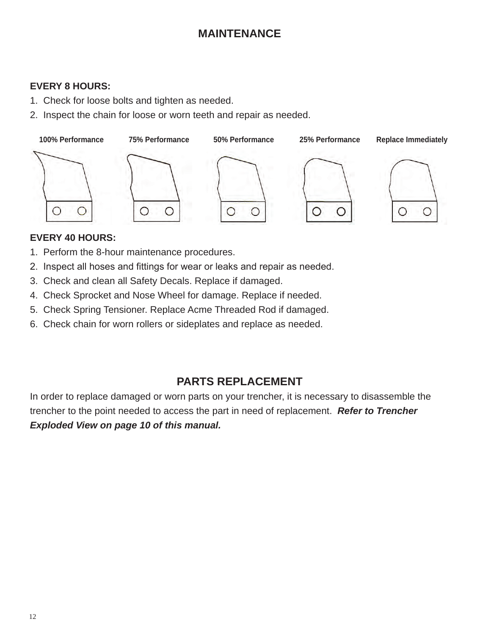# **MAINTENANCE**

#### **EVERY 8 HOURS:**

- 1. Check for loose bolts and tighten as needed.
- 2. Inspect the chain for loose or worn teeth and repair as needed.



#### **EVERY 40 HOURS:**

- 1. Perform the 8-hour maintenance procedures.
- 2. Inspect all hoses and fittings for wear or leaks and repair as needed.
- 3. Check and clean all Safety Decals. Replace if damaged.
- 4. Check Sprocket and Nose Wheel for damage. Replace if needed.
- 5. Check Spring Tensioner. Replace Acme Threaded Rod if damaged.
- 6. Check chain for worn rollers or sideplates and replace as needed.

### **PARTS REPLACEMENT**

In order to replace damaged or worn parts on your trencher, it is necessary to disassemble the trencher to the point needed to access the part in need of replacement. *Refer to Trencher Exploded View on page 10 of this manual.*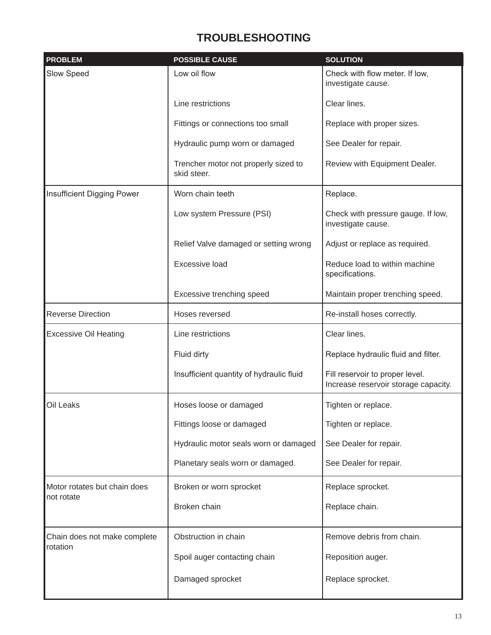# **TROUBLESHOOTING**

| <b>PROBLEM</b>               | <b>POSSIBLE CAUSE</b>                               | <b>SOLUTION</b>                                                         |
|------------------------------|-----------------------------------------------------|-------------------------------------------------------------------------|
| Slow Speed                   | Low oil flow                                        | Check with flow meter. If low,<br>investigate cause.                    |
|                              | Line restrictions                                   | Clear lines.                                                            |
|                              | Fittings or connections too small                   | Replace with proper sizes.                                              |
|                              | Hydraulic pump worn or damaged                      | See Dealer for repair.                                                  |
|                              | Trencher motor not properly sized to<br>skid steer. | Review with Equipment Dealer.                                           |
| Insufficient Digging Power   | Worn chain teeth                                    | Replace.                                                                |
|                              | Low system Pressure (PSI)                           | Check with pressure gauge. If low,<br>investigate cause.                |
|                              | Relief Valve damaged or setting wrong               | Adjust or replace as required.                                          |
|                              | Excessive load                                      | Reduce load to within machine<br>specifications.                        |
|                              | Excessive trenching speed                           | Maintain proper trenching speed.                                        |
| <b>Reverse Direction</b>     | Hoses reversed                                      | Re-install hoses correctly.                                             |
| <b>Excessive Oil Heating</b> | Line restrictions                                   | Clear lines.                                                            |
|                              | Fluid dirty                                         | Replace hydraulic fluid and filter.                                     |
|                              | Insufficient quantity of hydraulic fluid            | Fill reservoir to proper level.<br>Increase reservoir storage capacity. |
| Oil Leaks                    | Hoses loose or damaged                              | Tighten or replace.                                                     |
|                              | Fittings loose or damaged                           | Tighten or replace.                                                     |
|                              | Hydraulic motor seals worn or damaged               | See Dealer for repair.                                                  |
|                              | Planetary seals worn or damaged.                    | See Dealer for repair.                                                  |
| Motor rotates but chain does | Broken or worn sprocket                             | Replace sprocket.                                                       |
| not rotate                   | Broken chain                                        | Replace chain.                                                          |
| Chain does not make complete | Obstruction in chain                                | Remove debris from chain.                                               |
| rotation                     | Spoil auger contacting chain                        | Reposition auger.                                                       |
|                              | Damaged sprocket                                    | Replace sprocket.                                                       |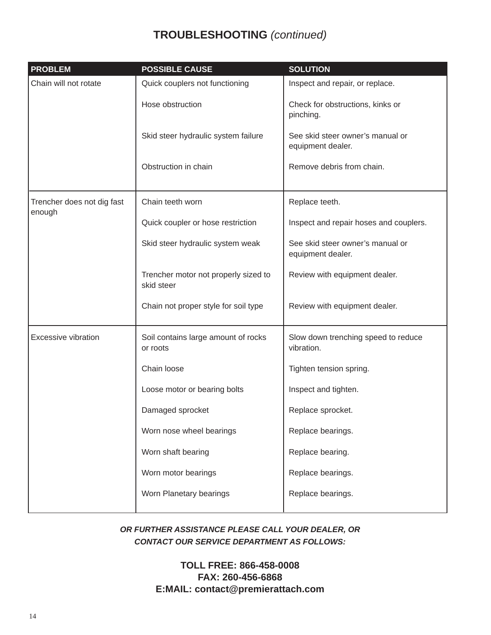# **TROUBLESHOOTING** *(continued)*

| <b>PROBLEM</b>                       | <b>POSSIBLE CAUSE</b>                              | <b>SOLUTION</b>                                       |
|--------------------------------------|----------------------------------------------------|-------------------------------------------------------|
| Chain will not rotate                | Quick couplers not functioning                     | Inspect and repair, or replace.                       |
|                                      | Hose obstruction                                   | Check for obstructions, kinks or<br>pinching.         |
|                                      | Skid steer hydraulic system failure                | See skid steer owner's manual or<br>equipment dealer. |
|                                      | Obstruction in chain                               | Remove debris from chain.                             |
| Trencher does not dig fast<br>enough | Chain teeth worn                                   | Replace teeth.                                        |
|                                      | Quick coupler or hose restriction                  | Inspect and repair hoses and couplers.                |
|                                      | Skid steer hydraulic system weak                   | See skid steer owner's manual or<br>equipment dealer. |
|                                      | Trencher motor not properly sized to<br>skid steer | Review with equipment dealer.                         |
|                                      | Chain not proper style for soil type               | Review with equipment dealer.                         |
| <b>Excessive vibration</b>           | Soil contains large amount of rocks<br>or roots    | Slow down trenching speed to reduce<br>vibration.     |
|                                      | Chain loose                                        | Tighten tension spring.                               |
|                                      | Loose motor or bearing bolts                       | Inspect and tighten.                                  |
|                                      | Damaged sprocket                                   | Replace sprocket.                                     |
|                                      | Worn nose wheel bearings                           | Replace bearings.                                     |
|                                      | Worn shaft bearing                                 | Replace bearing.                                      |
|                                      | Worn motor bearings                                | Replace bearings.                                     |
|                                      | Worn Planetary bearings                            | Replace bearings.                                     |

*OR FURTHER ASSISTANCE PLEASE CALL YOUR DEALER, OR CONTACT OUR SERVICE DEPARTMENT AS FOLLOWS:*

> **TOLL FREE: 866-458-0008 FAX: 260-456-6868 E:MAIL: contact@premierattach.com**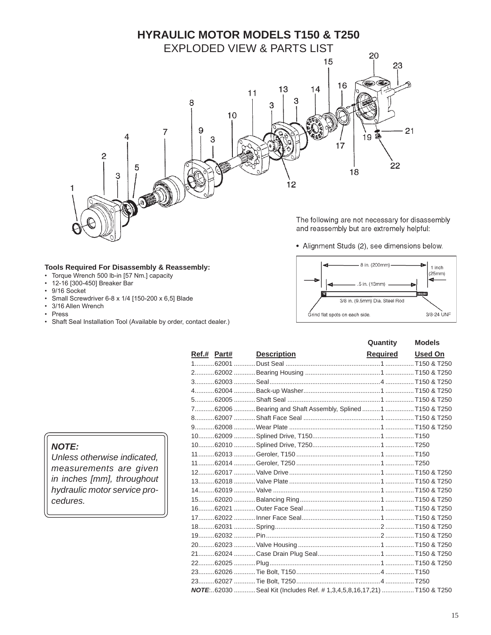

#### **Tools Required For Disassembly & Reassembly:**

- Torque Wrench 500 lb-in [57 Nm.] capacity
- 12-16 [300-450] Breaker Bar
- 9/16 Socket
- Small Screwdriver 6-8 x 1/4 [150-200 x 6,5] Blade
- 3/16 Allen Wrench
- Press
- Shaft Seal Installation Tool (Available by order, contact dealer.)

The following are not necessary for disassembly and reassembly but are extremely helpful:

• Alignment Studs (2), see dimensions below.



|  |                                                                       | Quantity         | <b>Models</b> |
|--|-----------------------------------------------------------------------|------------------|---------------|
|  | <b>Ref.# Part# Description</b>                                        | Required Used On |               |
|  |                                                                       |                  |               |
|  |                                                                       |                  |               |
|  |                                                                       |                  |               |
|  |                                                                       |                  |               |
|  |                                                                       |                  |               |
|  | 762006 Bearing and Shaft Assembly, Splined 1 T150 & T250              |                  |               |
|  |                                                                       |                  |               |
|  |                                                                       |                  |               |
|  |                                                                       |                  |               |
|  |                                                                       |                  |               |
|  |                                                                       |                  |               |
|  |                                                                       |                  |               |
|  |                                                                       |                  |               |
|  |                                                                       |                  |               |
|  |                                                                       |                  |               |
|  |                                                                       |                  |               |
|  |                                                                       |                  |               |
|  |                                                                       |                  |               |
|  |                                                                       |                  |               |
|  |                                                                       |                  |               |
|  |                                                                       |                  |               |
|  |                                                                       |                  |               |
|  |                                                                       |                  |               |
|  |                                                                       |                  |               |
|  |                                                                       |                  |               |
|  | NOTE62030  Seal Kit (Includes Ref. # 1,3,4,5,8,16,17,21)  T150 & T250 |                  |               |

#### *NOTE:*

*Unless otherwise indicated, measurements are given in inches [mm], throughout hydraulic motor service procedures.*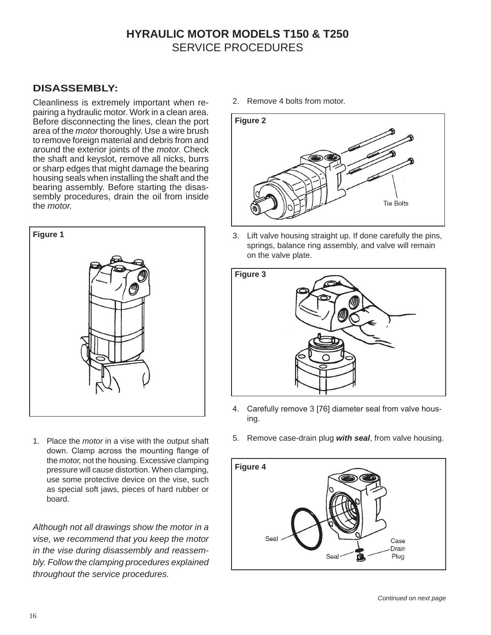# **HYRAULIC MOTOR MODELS T150 & T250** SERVICE PROCEDURES

#### **DISASSEMBLY:**

Cleanliness is extremely important when repairing a hydraulic motor. Work in a clean area. Before disconnecting the lines, clean the port area of the *motor* thoroughly. Use a wire brush to remove foreign material and debris from and around the exterior joints of the *motor.* Check the shaft and keyslot, remove all nicks, burrs or sharp edges that might damage the bearing housing seals when installing the shaft and the bearing assembly. Before starting the disassembly procedures, drain the oil from inside the *motor.*



1. Place the *motor* in a vise with the output shaft down. Clamp across the mounting flange of the *motor,* not the housing. Excessive clamping pressure will cause distortion. When clamping, use some protective device on the vise, such as special soft jaws, pieces of hard rubber or board.

*Although not all drawings show the motor in a vise, we recommend that you keep the motor in the vise during disassembly and reassembly. Follow the clamping procedures explained throughout the service procedures.*

2. Remove 4 bolts from motor.



3. Lift valve housing straight up. If done carefully the pins, springs, balance ring assembly, and valve will remain on the valve plate.



- 4. Carefully remove 3 [76] diameter seal from valve housing.
- 5. Remove case-drain plug *with seal*, from valve housing.

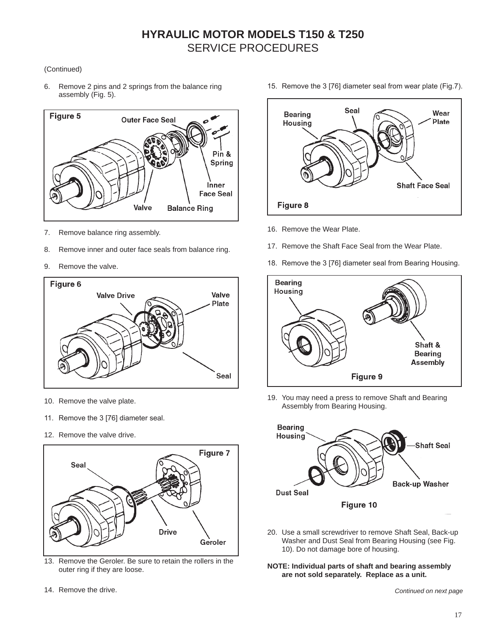#### (Continued)

6. Remove 2 pins and 2 springs from the balance ring assembly (Fig. 5).



- 7. Remove balance ring assembly.
- 8. Remove inner and outer face seals from balance ring.
- 9. Remove the valve.



- 10. Remove the valve plate.
- 11. Remove the 3 [76] diameter seal.
- 12. Remove the valve drive.



13. Remove the Geroler. Be sure to retain the rollers in the outer ring if they are loose.

15. Remove the 3 [76] diameter seal from wear plate (Fig.7).



- 16. Remove the Wear Plate.
- 17. Remove the Shaft Face Seal from the Wear Plate.
- 18. Remove the 3 [76] diameter seal from Bearing Housing.



19. You may need a press to remove Shaft and Bearing Assembly from Bearing Housing.



20. Use a small screwdriver to remove Shaft Seal, Back-up Washer and Dust Seal from Bearing Housing (see Fig. 10). Do not damage bore of housing.

#### **NOTE: Individual parts of shaft and bearing assembly are not sold separately. Replace as a unit.**

*Continued on next page*

14. Remove the drive.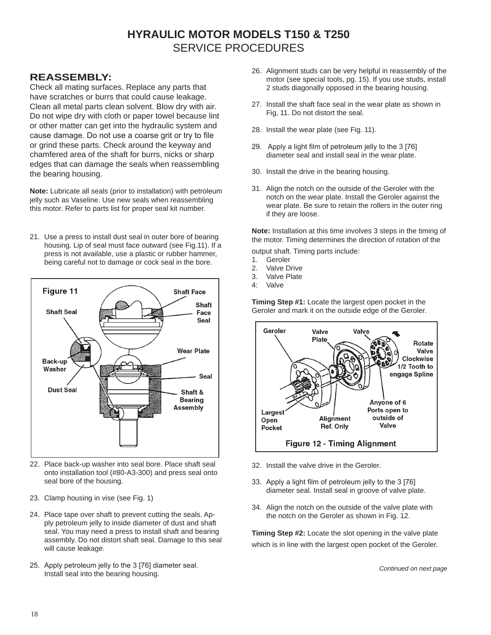# **HYRAULIC MOTOR MODELS T150 & T250** SERVICE PROCEDURES

#### **REASSEMBLY:**

Check all mating surfaces. Replace any parts that have scratches or burrs that could cause leakage. Clean all metal parts clean solvent. Blow dry with air. Do not wipe dry with cloth or paper towel because lint or other matter can get into the hydraulic system and cause damage. Do not use a coarse grit or try to file or grind these parts. Check around the keyway and chamfered area of the shaft for burrs, nicks or sharp edges that can damage the seals when reassembling the bearing housing.

**Note:** Lubricate all seals (prior to installation) with petroleum jelly such as Vaseline. Use new seals when reassembling this motor. Refer to parts list for proper seal kit number.

21. Use a press to install dust seal in outer bore of bearing housing. Lip of seal must face outward (see Fig.11). If a press is not available, use a plastic or rubber hammer, being careful not to damage or cock seal in the bore.



- 22. Place back-up washer into seal bore. Place shaft seal onto installation tool (#80-A3-300) and press seal onto seal bore of the housing.
- 23. Clamp housing in vise (see Fig. 1)
- 24. Place tape over shaft to prevent cutting the seals. Apply petroleum jelly to inside diameter of dust and shaft seal. You may need a press to install shaft and bearing assembly. Do not distort shaft seal. Damage to this seal will cause leakage.
- 25. Apply petroleum jelly to the 3 [76] diameter seal. Install seal into the bearing housing.
- 26. Alignment studs can be very helpful in reassembly of the motor (see special tools, pg. 15). If you use studs, install 2 studs diagonally opposed in the bearing housing.
- 27. Install the shaft face seal in the wear plate as shown in Fig, 11. Do not distort the seal.
- 28. Install the wear plate (see Fig. 11).
- 29. Apply a light film of petroleum jelly to the 3 [76] diameter seal and install seal in the wear plate.
- 30. Install the drive in the bearing housing.
- 31. Align the notch on the outside of the Geroler with the notch on the wear plate. Install the Geroler against the wear plate. Be sure to retain the rollers in the outer ring if they are loose.

**Note:** Installation at this time involves 3 steps in the timing of the motor. Timing determines the direction of rotation of the

output shaft. Timing parts include:

- 1. Geroler
- 2. Valve Drive
- 3. Valve Plate
- 4: Valve

**Timing Step #1:** Locate the largest open pocket in the Geroler and mark it on the outside edge of the Geroler.



- 32. Install the valve drive in the Geroler.
- 33. Apply a light film of petroleum jelly to the 3 [76] diameter seal. Install seal in groove of valve plate.
- 34. Align the notch on the outside of the valve plate with the notch on the Geroler as shown in Fig. 12.

**Timing Step #2:** Locate the slot opening in the valve plate which is in line with the largest open pocket of the Geroler.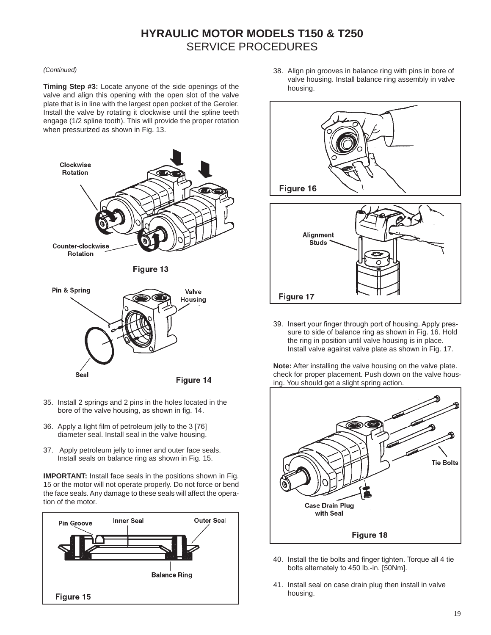# **HYRAULIC MOTOR MODELS T150 & T250** SERVICE PROCEDURES

#### *(Continued)*

**Timing Step #3:** Locate anyone of the side openings of the valve and align this opening with the open slot of the valve plate that is in line with the largest open pocket of the Geroler. Install the valve by rotating it clockwise until the spline teeth engage (1/2 spline tooth). This will provide the proper rotation when pressurized as shown in Fig. 13.



Figure 14

- 35. Install 2 springs and 2 pins in the holes located in the bore of the valve housing, as shown in fig. 14.
- 36. Apply a light film of petroleum jelly to the 3 [76] diameter seal. Install seal in the valve housing.

Seal

37. Apply petroleum jelly to inner and outer face seals. Install seals on balance ring as shown in Fig. 15.

**IMPORTANT:** Install face seals in the positions shown in Fig. 15 or the motor will not operate properly. Do not force or bend the face seals. Any damage to these seals will affect the operation of the motor.



38. Align pin grooves in balance ring with pins in bore of valve housing. Install balance ring assembly in valve housing.





39. Insert your finger through port of housing. Apply pressure to side of balance ring as shown in Fig. 16. Hold the ring in position until valve housing is in place. Install valve against valve plate as shown in Fig. 17.

**Note:** After installing the valve housing on the valve plate. check for proper placement. Push down on the valve housing. You should get a slight spring action.



- 40. Install the tie bolts and finger tighten. Torque all 4 tie bolts alternately to 450 lb.-in. [50Nm].
- 41. Install seal on case drain plug then install in valve housing.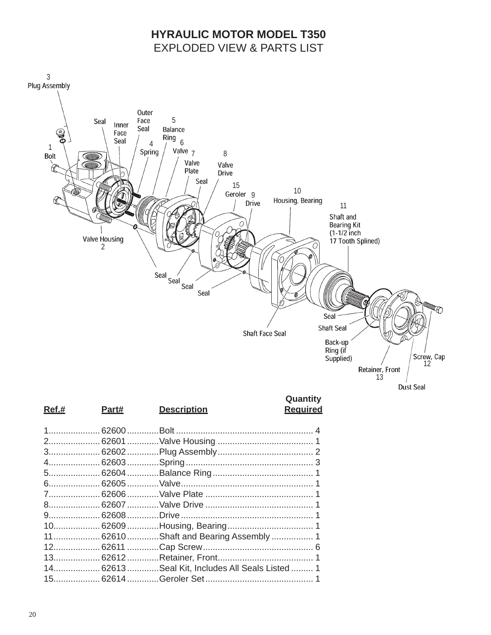# **HYRAULIC MOTOR MODEL T350 EXPLODED VIEW & PARTS LIST**



|  | 11 62610Shaft and Bearing Assembly  1         |  |
|--|-----------------------------------------------|--|
|  |                                               |  |
|  |                                               |  |
|  | 14 62613Seal Kit, Includes All Seals Listed 1 |  |
|  |                                               |  |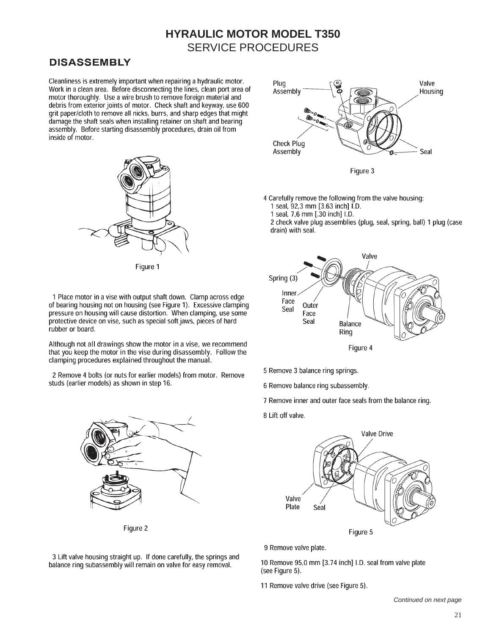#### **DISASSEMBLY**

rubber or board.

Cleanliness is extremely important when repairing a hydraulic motor. Work in a clean area. Before disconnecting the lines, clean port area of motor thoroughly. Use a wire brush to remove foreign material and debris from exterior joints of motor. Check shaft and keyway, use 600 grit paper/cloth to remove all nicks, burrs, and sharp edges that might damage the shaft seals when installing retainer on shaft and bearing assembly. Before starting disassembly procedures, drain oil from inside of motor.



Figure 1

1 Place motor in a vise with output shaft down. Clamp across edge

of bearing housing not on housing (see Figure 1). Excessive clamping

pressure on housing will cause distortion. When clamping, use some

Although not all drawings show the motor in a vise, we recommend

that you keep the motor in the vise during disassembly. Follow the

2 Remove 4 bolts (or nuts for earlier models) from motor. Remove

clamping procedures explained throughout the manual.

studs (earlier models) as shown in step 16.

protective device on vise, such as special soft jaws, pieces of hard



4 Carefully remove the following from the valve housing: 1 seal, 92,3 mm [3.63 inch] I.D.

1 seal, 7,6 mm [.30 inch] I.D.

2 check valve plug assemblies (plug, seal, spring, ball) 1 plug (case drain) with seal.



Figure 4

- 5 Remove 3 balance ring springs.
- 6 Remove balance ring subassembly.
- 7 Remove inner and outer face seals from the balance ring.
- 8 Lift off valve.



9 Remove valve plate.

10 Remove 95,0 mm [3.74 inch] I.D. seal from valve plate (see Figure 5).

11 Remove valve drive (see Figure 5).

Continued on next page



Figure 2

3 Lift valve housing straight up. If done carefully, the springs and balance ring subassembly will remain on valve for easy removal.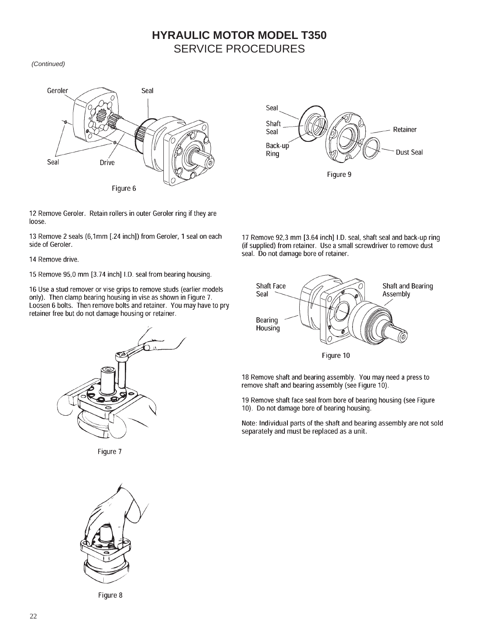(Continued)



12 Remove Geroler. Retain rollers in outer Geroler ring if they are loose.

13 Remove 2 seals (6,1mm [.24 inch]) from Geroler, 1 seal on each side of Geroler.

14 Remove drive.

15 Remove 95,0 mm [3.74 inch] I.D. seal from bearing housing.

16 Use a stud remover or vise grips to remove studs (earlier models only). Then clamp bearing housing in vise as shown in Figure 7. Loosen 6 bolts. Then remove bolts and retainer. You may have to pry retainer free but do not damage housing or retainer.



Figure 7



Figure 8



17 Remove 92,3 mm [3.64 inch] I.D. seal, shaft seal and back-up ring (if supplied) from retainer. Use a small screwdriver to remove dust seal. Do not damage bore of retainer.



18 Remove shaft and bearing assembly. You may need a press to remove shaft and bearing assembly (see Figure 10).

19 Remove shaft face seal from bore of bearing housing (see Figure 10). Do not damage bore of bearing housing.

Note: Individual parts of the shaft and bearing assembly are not sold separately and must be replaced as a unit.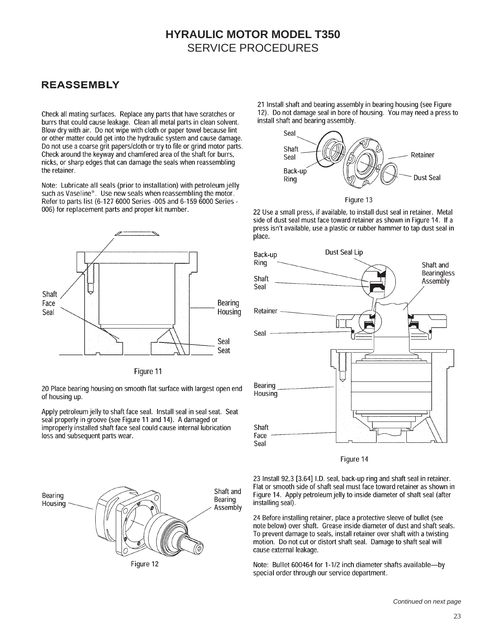#### **REASSEMBLY**

Check all mating surfaces. Replace any parts that have scratches or burrs that could cause leakage. Clean all metal parts in clean solvent. Blow dry with air. Do not wipe with cloth or paper towel because lint or other matter could get into the hydraulic system and cause damage. Do not use a coarse grit papers/cloth or try to file or grind motor parts. Check around the keyway and chamfered area of the shaft for burrs, nicks, or sharp edges that can damage the seals when reassembling the retainer.

Note: Lubricate all seals (prior to installation) with petroleum jelly such as Vaseline®. Use new seals when reassembling the motor. Refer to parts list (6-127 6000 Series -005 and 6-159 6000 Series -006) for replacement parts and proper kit number.



Figure 11

20 Place bearing housing on smooth flat surface with largest open end of housing up.

Apply petroleum jelly to shaft face seal. Install seal in seal seat. Seat seal properly in groove (see Figure 11 and 14). A damaged or improperly installed shaft face seal could cause internal lubrication loss and subsequent parts wear.





21 Install shaft and bearing assembly in bearing housing (see Figure 12). Do not damage seal in bore of housing. You may need a press to install shaft and bearing assembly.





22 Use a small press, if available, to install dust seal in retainer. Metal side of dust seal must face toward retainer as shown in Figure 14. If a press isn't available, use a plastic or rubber hammer to tap dust seal in place.



Figure 14

23 Install 92,3 [3.64] I.D. seal, back-up ring and shaft seal in retainer. Flat or smooth side of shaft seal must face toward retainer as shown in Figure 14. Apply petroleum jelly to inside diameter of shaft seal (after installing seal).

24 Before installing retainer, place a protective sleeve of bullet (see note below) over shaft. Grease inside diameter of dust and shaft seals. To prevent damage to seals, install retainer over shaft with a twisting motion. Do not cut or distort shaft seal. Damage to shaft seal will cause external leakage.

Note: Bullet 600464 for 1-1/2 inch diameter shafts available-by special order through our service department.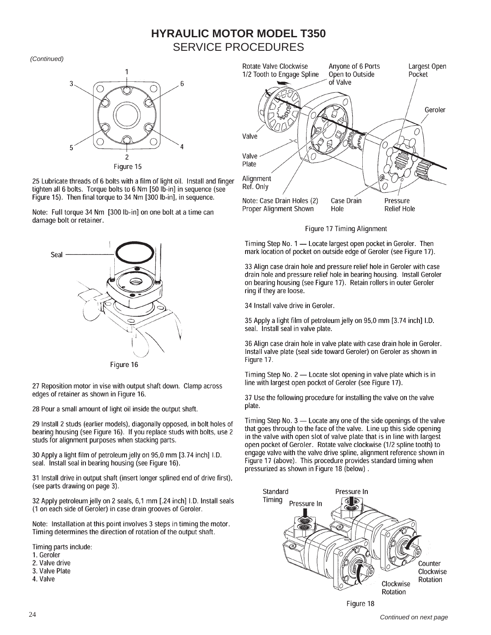(Continued)



25 Lubricate threads of 6 bolts with a film of light oil. Install and finger tighten all 6 bolts. Torque bolts to 6 Nm [50 lb-in] in sequence (see Figure 15). Then final torque to 34 Nm [300 lb-in], in sequence.

Note: Full torque 34 Nm [300 lb-in] on one bolt at a time can damage bolt or retainer.



Figure 16

27 Reposition motor in vise with output shaft down. Clamp across edges of retainer as shown in Figure 16.

28 Pour a small amount of light oil inside the output shaft.

29 Install 2 studs (earlier models), diagonally opposed, in bolt holes of bearing housing (see Figure 16). If you replace studs with bolts, use 2 studs for alignment purposes when stacking parts.

30 Apply a light film of petroleum jelly on 95,0 mm [3.74 inch] I.D. seal. Install seal in bearing housing (see Figure 16).

31 Install drive in output shaft (insert longer splined end of drive first), (see parts drawing on page 3).

32 Apply petroleum jelly on 2 seals, 6,1 mm [.24 inch] I.D. Install seals (1 on each side of Geroler) in case drain grooves of Geroler.

Note: Installation at this point involves 3 steps in timing the motor. Timing determines the direction of rotation of the output shaft.

Timing parts include:

- 1. Geroler
- 2. Valve drive
- 3. Valve Plate
- 4. Valve



Figure 17 Timing Alignment

Timing Step No. 1 - Locate largest open pocket in Geroler. Then mark location of pocket on outside edge of Geroler (see Figure 17).

33 Align case drain hole and pressure relief hole in Geroler with case drain hole and pressure relief hole in bearing housing. Install Geroler on bearing housing (see Figure 17). Retain rollers in outer Geroler ring if they are loose.

34 Install valve drive in Geroler.

35 Apply a light film of petroleum jelly on 95,0 mm [3.74 inch] I.D. seal. Install seal in valve plate.

36 Align case drain hole in valve plate with case drain hole in Geroler. Install valve plate (seal side toward Geroler) on Geroler as shown in Figure 17.

Timing Step No. 2 - Locate slot opening in valve plate which is in line with largest open pocket of Geroler (see Figure 17).

37 Use the following procedure for installing the valve on the valve plate.

Timing Step No. 3 - Locate any one of the side openings of the valve that goes through to the face of the valve. Line up this side opening in the valve with open slot of valve plate that is in line with largest open pocket of Geroler. Rotate valve clockwise (1/2 spline tooth) to engage valve with the valve drive spline, alignment reference shown in Figure 17 (above). This procedure provides standard timing when pressurized as shown in Figure 18 (below).

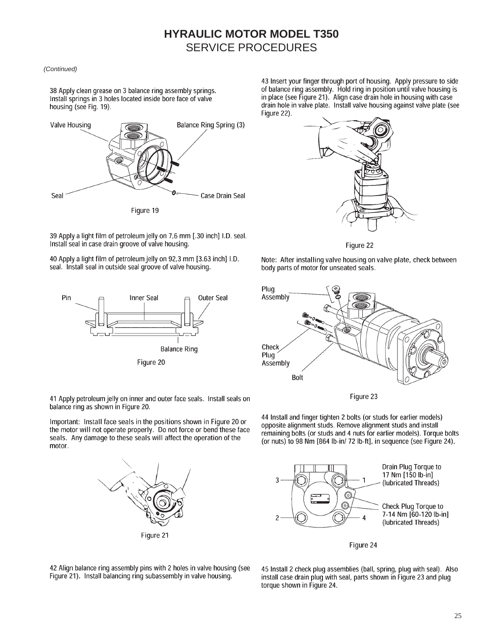#### (Continued)

38 Apply clean grease on 3 balance ring assembly springs. Install springs in 3 holes located inside bore face of valve housing (see Fig. 19).



43 Insert your finger through port of housing. Apply pressure to side of balance ring assembly. Hold ring in position until valve housing is in place (see Figure 21). Align case drain hole in housing with case drain hole in valve plate. Install valve housing against valve plate (see Figure 22).





39 Apply a light film of petroleum jelly on 7,6 mm [.30 inch] I.D. seal. Install seal in case drain groove of valve housing.

40 Apply a light film of petroleum jelly on 92,3 mm [3.63 inch] I.D. seal. Install seal in outside seal groove of valve housing.



41 Apply petroleum jelly on inner and outer face seals. Install seals on balance ring as shown in Figure 20.

Important: Install face seals in the positions shown in Figure 20 or the motor will not operate properly. Do not force or bend these face seals. Any damage to these seals will affect the operation of the motor.



Note: After installing valve housing on valve plate, check between body parts of motor for unseated seals.



Figure 23

44 Install and finger tighten 2 bolts (or studs for earlier models) opposite alignment studs. Remove alignment studs and install remaining bolts (or studs and 4 nuts for earlier models). Torque bolts (or nuts) to 98 Nm [864 lb-in/ 72 lb-ft], in sequence (see Figure 24).



Figure 24

42 Align balance ring assembly pins with 2 holes in valve housing (see Figure 21). Install balancing ring subassembly in valve housing.

45 Install 2 check plug assemblies (ball, spring, plug with seal). Also install case drain plug with seal, parts shown in Figure 23 and plug torque shown in Figure 24.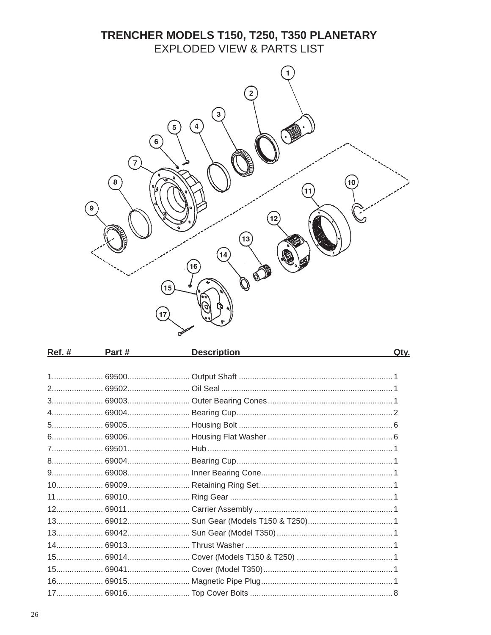# TRENCHER MODELS T150, T250, T350 PLANETARY EXPLODED VIEW & PARTS LIST



| <u>Ref. #_______</u> | Part # | <b>Description</b> | Qty. |
|----------------------|--------|--------------------|------|
|                      |        |                    |      |
|                      |        |                    |      |
|                      |        |                    |      |
|                      |        |                    |      |
|                      |        |                    |      |
|                      |        |                    |      |
|                      |        |                    |      |
|                      |        |                    |      |
|                      |        |                    |      |
|                      |        |                    |      |
|                      |        |                    |      |
|                      |        |                    |      |
|                      |        |                    |      |
|                      |        |                    |      |
|                      |        |                    |      |
|                      |        |                    |      |
|                      |        |                    |      |
|                      |        |                    |      |
|                      |        |                    |      |
|                      |        |                    |      |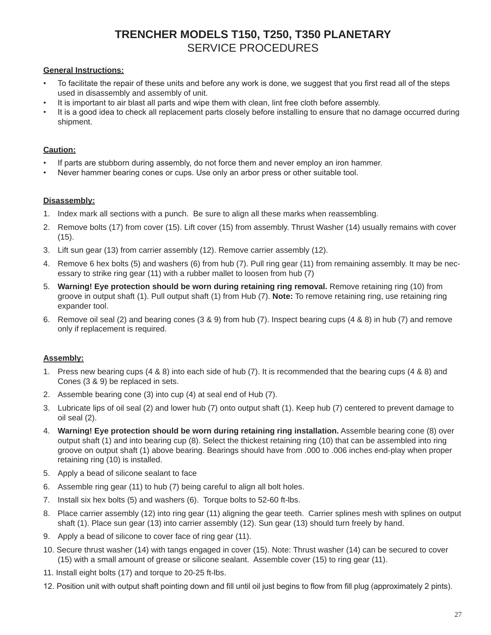## **TRENCHER MODELS T150, T250, T350 PLANETARY** SERVICE PROCEDURES

#### **General Instructions:**

- To facilitate the repair of these units and before any work is done, we suggest that you first read all of the steps used in disassembly and assembly of unit.
- It is important to air blast all parts and wipe them with clean, lint free cloth before assembly.
- It is a good idea to check all replacement parts closely before installing to ensure that no damage occurred during shipment.

#### **Caution:**

- If parts are stubborn during assembly, do not force them and never employ an iron hammer.
- Never hammer bearing cones or cups. Use only an arbor press or other suitable tool.

#### **Disassembly:**

- 1. Index mark all sections with a punch. Be sure to align all these marks when reassembling.
- 2. Remove bolts (17) from cover (15). Lift cover (15) from assembly. Thrust Washer (14) usually remains with cover (15).
- 3. Lift sun gear (13) from carrier assembly (12). Remove carrier assembly (12).
- 4. Remove 6 hex bolts (5) and washers (6) from hub (7). Pull ring gear (11) from remaining assembly. It may be necessary to strike ring gear (11) with a rubber mallet to loosen from hub (7)
- 5. **Warning! Eye protection should be worn during retaining ring removal.** Remove retaining ring (10) from groove in output shaft (1). Pull output shaft (1) from Hub (7). **Note:** To remove retaining ring, use retaining ring expander tool.
- 6. Remove oil seal (2) and bearing cones (3 & 9) from hub (7). Inspect bearing cups (4 & 8) in hub (7) and remove only if replacement is required.

#### **Assembly:**

- 1. Press new bearing cups (4 & 8) into each side of hub (7). It is recommended that the bearing cups (4 & 8) and Cones (3 & 9) be replaced in sets.
- 2. Assemble bearing cone (3) into cup (4) at seal end of Hub (7).
- 3. Lubricate lips of oil seal (2) and lower hub (7) onto output shaft (1). Keep hub (7) centered to prevent damage to oil seal (2).
- 4. **Warning! Eye protection should be worn during retaining ring installation.** Assemble bearing cone (8) over output shaft (1) and into bearing cup (8). Select the thickest retaining ring (10) that can be assembled into ring groove on output shaft (1) above bearing. Bearings should have from .000 to .006 inches end-play when proper retaining ring (10) is installed.
- 5. Apply a bead of silicone sealant to face
- 6. Assemble ring gear (11) to hub (7) being careful to align all bolt holes.
- 7. Install six hex bolts (5) and washers (6). Torque bolts to 52-60 ft-lbs.
- 8. Place carrier assembly (12) into ring gear (11) aligning the gear teeth. Carrier splines mesh with splines on output shaft (1). Place sun gear (13) into carrier assembly (12). Sun gear (13) should turn freely by hand.
- 9. Apply a bead of silicone to cover face of ring gear (11).
- 10. Secure thrust washer (14) with tangs engaged in cover (15). Note: Thrust washer (14) can be secured to cover (15) with a small amount of grease or silicone sealant. Assemble cover (15) to ring gear (11).
- 11. Install eight bolts (17) and torque to 20-25 ft-lbs.
- 12. Position unit with output shaft pointing down and fill until oil just begins to flow from fill plug (approximately 2 pints).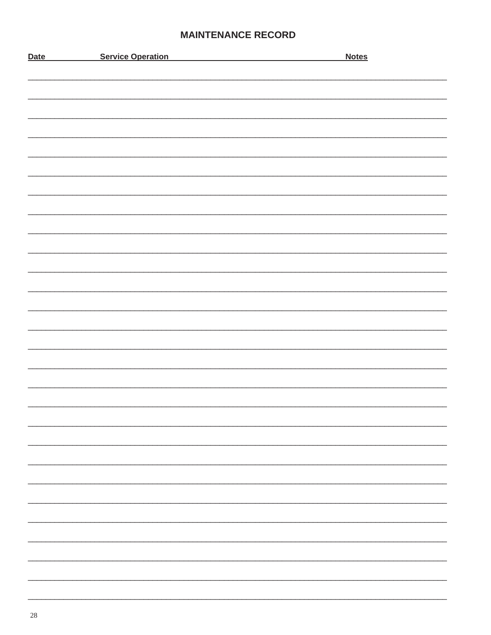#### **MAINTENANCE RECORD**

| <b>Date</b> | <b>Service Operation</b> | <b>Notes</b> |
|-------------|--------------------------|--------------|
|             |                          |              |
|             |                          |              |
|             |                          |              |
|             |                          |              |
|             |                          |              |
|             |                          |              |
|             |                          |              |
|             |                          |              |
|             |                          |              |
|             |                          |              |
|             |                          |              |
|             |                          |              |
|             |                          |              |
|             |                          |              |
|             |                          |              |
|             |                          |              |
|             |                          |              |
|             |                          |              |
|             |                          |              |
|             |                          |              |
|             |                          |              |
|             |                          |              |
|             |                          |              |
|             |                          |              |
|             |                          |              |
|             |                          |              |
|             |                          |              |
|             |                          |              |
|             |                          |              |
|             |                          |              |
|             |                          |              |
|             |                          |              |
|             |                          |              |
|             |                          |              |
|             |                          |              |
|             |                          |              |
|             |                          |              |
|             |                          |              |
|             |                          |              |
|             |                          |              |
|             |                          |              |
|             |                          |              |
|             |                          |              |
|             |                          |              |
|             |                          |              |
|             |                          |              |